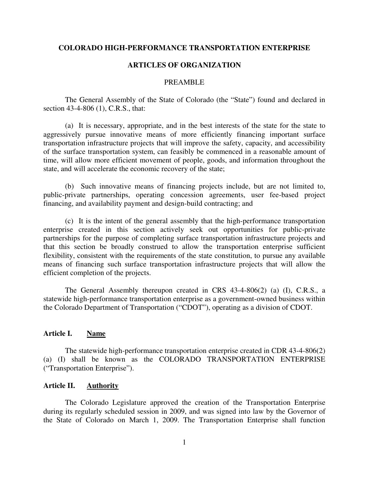#### **COLORADO HIGH-PERFORMANCE TRANSPORTATION ENTERPRISE**

#### **ARTICLES OF ORGANIZATION**

#### PREAMBLE

 The General Assembly of the State of Colorado (the "State") found and declared in section 43-4-806 (1), C.R.S., that:

 (a) It is necessary, appropriate, and in the best interests of the state for the state to aggressively pursue innovative means of more efficiently financing important surface transportation infrastructure projects that will improve the safety, capacity, and accessibility of the surface transportation system, can feasibly be commenced in a reasonable amount of time, will allow more efficient movement of people, goods, and information throughout the state, and will accelerate the economic recovery of the state;

 (b) Such innovative means of financing projects include, but are not limited to, public-private partnerships, operating concession agreements, user fee-based project financing, and availability payment and design-build contracting; and

 (c) It is the intent of the general assembly that the high-performance transportation enterprise created in this section actively seek out opportunities for public-private partnerships for the purpose of completing surface transportation infrastructure projects and that this section be broadly construed to allow the transportation enterprise sufficient flexibility, consistent with the requirements of the state constitution, to pursue any available means of financing such surface transportation infrastructure projects that will allow the efficient completion of the projects.

 The General Assembly thereupon created in CRS 43-4-806(2) (a) (I), C.R.S., a statewide high-performance transportation enterprise as a government-owned business within the Colorado Department of Transportation ("CDOT"), operating as a division of CDOT.

#### **Article I. Name**

 The statewide high-performance transportation enterprise created in CDR 43-4-806(2) (a) (I) shall be known as the COLORADO TRANSPORTATION ENTERPRISE ("Transportation Enterprise").

### **Article II. Authority**

 The Colorado Legislature approved the creation of the Transportation Enterprise during its regularly scheduled session in 2009, and was signed into law by the Governor of the State of Colorado on March 1, 2009. The Transportation Enterprise shall function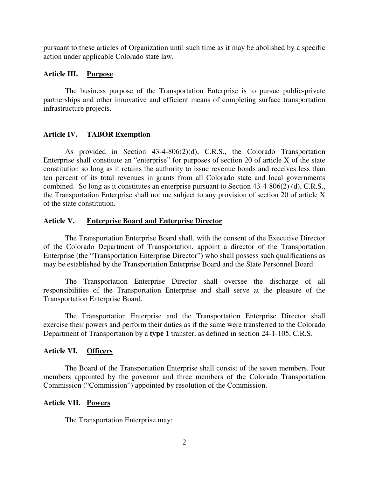pursuant to these articles of Organization until such time as it may be abolished by a specific action under applicable Colorado state law.

## **Article III. Purpose**

 The business purpose of the Transportation Enterprise is to pursue public-private partnerships and other innovative and efficient means of completing surface transportation infrastructure projects.

# **Article IV. TABOR Exemption**

 As provided in Section 43-4-806(2)(d), C.R.S., the Colorado Transportation Enterprise shall constitute an "enterprise" for purposes of section 20 of article X of the state constitution so long as it retains the authority to issue revenue bonds and receives less than ten percent of its total revenues in grants from all Colorado state and local governments combined. So long as it constitutes an enterprise pursuant to Section 43-4-806(2) (d), C.R.S., the Transportation Enterprise shall not me subject to any provision of section 20 of article X of the state constitution.

## **Article V. Enterprise Board and Enterprise Director**

 The Transportation Enterprise Board shall, with the consent of the Executive Director of the Colorado Department of Transportation, appoint a director of the Transportation Enterprise (the "Transportation Enterprise Director") who shall possess such qualifications as may be established by the Transportation Enterprise Board and the State Personnel Board.

 The Transportation Enterprise Director shall oversee the discharge of all responsibilities of the Transportation Enterprise and shall serve at the pleasure of the Transportation Enterprise Board.

The Transportation Enterprise and the Transportation Enterprise Director shall exercise their powers and perform their duties as if the same were transferred to the Colorado Department of Transportation by a **type 1** transfer, as defined in section 24-1-105, C.R.S.

# **Article VI. Officers**

 The Board of the Transportation Enterprise shall consist of the seven members. Four members appointed by the governor and three members of the Colorado Transportation Commission ("Commission") appointed by resolution of the Commission.

## **Article VII. Powers**

The Transportation Enterprise may: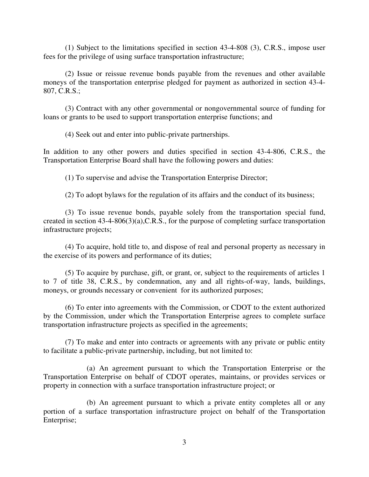(1) Subject to the limitations specified in section 43-4-808 (3), C.R.S., impose user fees for the privilege of using surface transportation infrastructure;

 (2) Issue or reissue revenue bonds payable from the revenues and other available moneys of the transportation enterprise pledged for payment as authorized in section 43-4- 807, C.R.S.;

 (3) Contract with any other governmental or nongovernmental source of funding for loans or grants to be used to support transportation enterprise functions; and

(4) Seek out and enter into public-private partnerships.

In addition to any other powers and duties specified in section 43-4-806, C.R.S., the Transportation Enterprise Board shall have the following powers and duties:

(1) To supervise and advise the Transportation Enterprise Director;

(2) To adopt bylaws for the regulation of its affairs and the conduct of its business;

 (3) To issue revenue bonds, payable solely from the transportation special fund, created in section 43-4-806(3)(a),C.R.S., for the purpose of completing surface transportation infrastructure projects;

 (4) To acquire, hold title to, and dispose of real and personal property as necessary in the exercise of its powers and performance of its duties;

 (5) To acquire by purchase, gift, or grant, or, subject to the requirements of articles 1 to 7 of title 38, C.R.S., by condemnation, any and all rights-of-way, lands, buildings, moneys, or grounds necessary or convenient for its authorized purposes;

 (6) To enter into agreements with the Commission, or CDOT to the extent authorized by the Commission, under which the Transportation Enterprise agrees to complete surface transportation infrastructure projects as specified in the agreements;

 (7) To make and enter into contracts or agreements with any private or public entity to facilitate a public-private partnership, including, but not limited to:

 (a) An agreement pursuant to which the Transportation Enterprise or the Transportation Enterprise on behalf of CDOT operates, maintains, or provides services or property in connection with a surface transportation infrastructure project; or

 (b) An agreement pursuant to which a private entity completes all or any portion of a surface transportation infrastructure project on behalf of the Transportation Enterprise;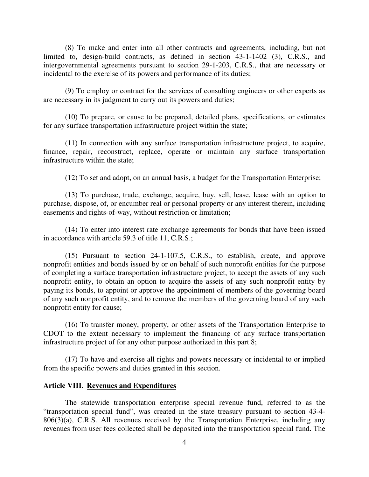(8) To make and enter into all other contracts and agreements, including, but not limited to, design-build contracts, as defined in section 43-1-1402 (3), C.R.S., and intergovernmental agreements pursuant to section 29-1-203, C.R.S., that are necessary or incidental to the exercise of its powers and performance of its duties;

 (9) To employ or contract for the services of consulting engineers or other experts as are necessary in its judgment to carry out its powers and duties;

 (10) To prepare, or cause to be prepared, detailed plans, specifications, or estimates for any surface transportation infrastructure project within the state;

 (11) In connection with any surface transportation infrastructure project, to acquire, finance, repair, reconstruct, replace, operate or maintain any surface transportation infrastructure within the state;

(12) To set and adopt, on an annual basis, a budget for the Transportation Enterprise;

 (13) To purchase, trade, exchange, acquire, buy, sell, lease, lease with an option to purchase, dispose, of, or encumber real or personal property or any interest therein, including easements and rights-of-way, without restriction or limitation;

 (14) To enter into interest rate exchange agreements for bonds that have been issued in accordance with article 59.3 of title 11, C.R.S.;

 (15) Pursuant to section 24-1-107.5, C.R.S., to establish, create, and approve nonprofit entities and bonds issued by or on behalf of such nonprofit entities for the purpose of completing a surface transportation infrastructure project, to accept the assets of any such nonprofit entity, to obtain an option to acquire the assets of any such nonprofit entity by paying its bonds, to appoint or approve the appointment of members of the governing board of any such nonprofit entity, and to remove the members of the governing board of any such nonprofit entity for cause;

 (16) To transfer money, property, or other assets of the Transportation Enterprise to CDOT to the extent necessary to implement the financing of any surface transportation infrastructure project of for any other purpose authorized in this part 8;

 (17) To have and exercise all rights and powers necessary or incidental to or implied from the specific powers and duties granted in this section.

### **Article VIII. Revenues and Expenditures**

 The statewide transportation enterprise special revenue fund, referred to as the "transportation special fund", was created in the state treasury pursuant to section 43-4-  $806(3)(a)$ , C.R.S. All revenues received by the Transportation Enterprise, including any revenues from user fees collected shall be deposited into the transportation special fund. The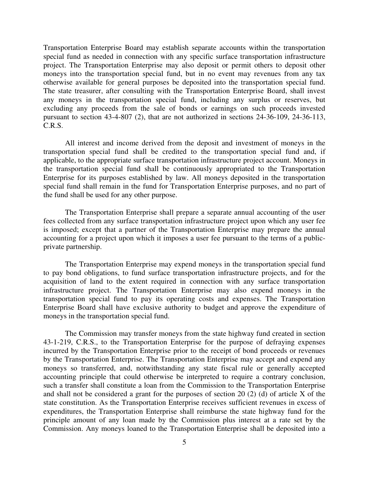Transportation Enterprise Board may establish separate accounts within the transportation special fund as needed in connection with any specific surface transportation infrastructure project. The Transportation Enterprise may also deposit or permit others to deposit other moneys into the transportation special fund, but in no event may revenues from any tax otherwise available for general purposes be deposited into the transportation special fund. The state treasurer, after consulting with the Transportation Enterprise Board, shall invest any moneys in the transportation special fund, including any surplus or reserves, but excluding any proceeds from the sale of bonds or earnings on such proceeds invested pursuant to section 43-4-807 (2), that are not authorized in sections 24-36-109, 24-36-113, C.R.S.

 All interest and income derived from the deposit and investment of moneys in the transportation special fund shall be credited to the transportation special fund and, if applicable, to the appropriate surface transportation infrastructure project account. Moneys in the transportation special fund shall be continuously appropriated to the Transportation Enterprise for its purposes established by law. All moneys deposited in the transportation special fund shall remain in the fund for Transportation Enterprise purposes, and no part of the fund shall be used for any other purpose.

 The Transportation Enterprise shall prepare a separate annual accounting of the user fees collected from any surface transportation infrastructure project upon which any user fee is imposed; except that a partner of the Transportation Enterprise may prepare the annual accounting for a project upon which it imposes a user fee pursuant to the terms of a publicprivate partnership.

 The Transportation Enterprise may expend moneys in the transportation special fund to pay bond obligations, to fund surface transportation infrastructure projects, and for the acquisition of land to the extent required in connection with any surface transportation infrastructure project. The Transportation Enterprise may also expend moneys in the transportation special fund to pay its operating costs and expenses. The Transportation Enterprise Board shall have exclusive authority to budget and approve the expenditure of moneys in the transportation special fund.

 The Commission may transfer moneys from the state highway fund created in section 43-1-219, C.R.S., to the Transportation Enterprise for the purpose of defraying expenses incurred by the Transportation Enterprise prior to the receipt of bond proceeds or revenues by the Transportation Enterprise. The Transportation Enterprise may accept and expend any moneys so transferred, and, notwithstanding any state fiscal rule or generally accepted accounting principle that could otherwise be interpreted to require a contrary conclusion, such a transfer shall constitute a loan from the Commission to the Transportation Enterprise and shall not be considered a grant for the purposes of section 20 (2) (d) of article X of the state constitution. As the Transportation Enterprise receives sufficient revenues in excess of expenditures, the Transportation Enterprise shall reimburse the state highway fund for the principle amount of any loan made by the Commission plus interest at a rate set by the Commission. Any moneys loaned to the Transportation Enterprise shall be deposited into a